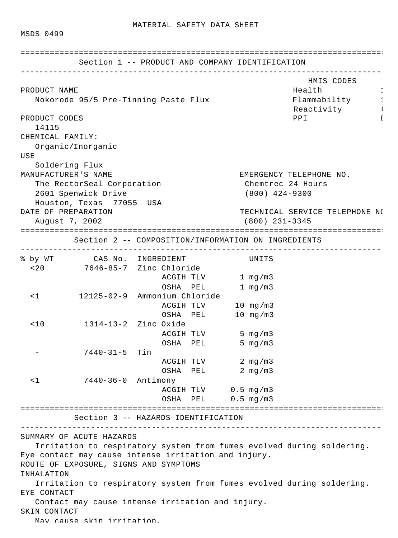MSDS 0499

|                        | Section 1 -- PRODUCT AND COMPANY IDENTIFICATION<br>-------------------------------- |  |                     |                                  |                                                                       |
|------------------------|-------------------------------------------------------------------------------------|--|---------------------|----------------------------------|-----------------------------------------------------------------------|
| PRODUCT NAME           |                                                                                     |  |                     |                                  | HMIS CODES<br>Health                                                  |
|                        | Nokorode 95/5 Pre-Tinning Paste Flux                                                |  |                     |                                  | Flammability                                                          |
| PRODUCT CODES<br>14115 |                                                                                     |  |                     | Reactivity Products<br>PPI<br>Ι. |                                                                       |
| CHEMICAL FAMILY:       |                                                                                     |  |                     |                                  |                                                                       |
|                        | Organic/Inorganic                                                                   |  |                     |                                  |                                                                       |
| USE                    |                                                                                     |  |                     |                                  |                                                                       |
|                        | Soldering Flux                                                                      |  |                     |                                  |                                                                       |
| MANUFACTURER'S NAME    |                                                                                     |  |                     |                                  | EMERGENCY TELEPHONE NO.                                               |
|                        | The RectorSeal Corporation                                                          |  |                     |                                  | Chemtrec 24 Hours                                                     |
|                        | 2601 Spenwick Drive                                                                 |  |                     | $(800)$ 424-9300                 |                                                                       |
|                        | Houston, Texas 77055 USA                                                            |  |                     |                                  |                                                                       |
| DATE OF PREPARATION    |                                                                                     |  |                     |                                  | TECHNICAL SERVICE TELEPHONE NO                                        |
|                        | August 7, 2002                                                                      |  |                     | $(800)$ 231-3345                 |                                                                       |
|                        | ===================================                                                 |  |                     |                                  | =====================================                                 |
|                        | Section 2 -- COMPOSITION/INFORMATION ON INGREDIENTS                                 |  |                     |                                  |                                                                       |
|                        | % by WT CAS No. INGREDIENT                                                          |  |                     | UNITS                            |                                                                       |
| $<$ 20                 | 7646-85-7 Zinc Chloride                                                             |  |                     |                                  |                                                                       |
|                        |                                                                                     |  | ACGIH TLV 1 mg/m3   |                                  |                                                                       |
|                        |                                                                                     |  | OSHA PEL            | 1 $mg/m3$                        |                                                                       |
| $\leq$ 1               | 12125-02-9 Ammonium Chloride                                                        |  |                     |                                  |                                                                       |
|                        |                                                                                     |  | ACGIH TLV 10 mg/m3  |                                  |                                                                       |
|                        |                                                                                     |  | OSHA PEL 10 mg/m3   |                                  |                                                                       |
| < 10                   | 1314-13-2 Zinc Oxide                                                                |  |                     |                                  |                                                                       |
|                        |                                                                                     |  | ACGIH TLV           | 5 $mg/m3$                        |                                                                       |
|                        |                                                                                     |  | OSHA PEL            | 5 mg/m3                          |                                                                       |
|                        | 7440-31-5 Tin                                                                       |  |                     |                                  |                                                                       |
|                        |                                                                                     |  | ACGIH TLV 2 mg/m3   |                                  |                                                                       |
|                        |                                                                                     |  | OSHA PEL 2 mg/m3    |                                  |                                                                       |
| $\leq$ 1               | 7440-36-0 Antimony                                                                  |  |                     |                                  |                                                                       |
|                        |                                                                                     |  | ACGIH TLV 0.5 mg/m3 |                                  |                                                                       |
|                        |                                                                                     |  | OSHA PEL 0.5 mg/m3  |                                  |                                                                       |
|                        | Section 3 -- HAZARDS IDENTIFICATION                                                 |  |                     |                                  |                                                                       |
|                        |                                                                                     |  |                     |                                  |                                                                       |
|                        | SUMMARY OF ACUTE HAZARDS                                                            |  |                     |                                  |                                                                       |
|                        |                                                                                     |  |                     |                                  | Irritation to respiratory system from fumes evolved during soldering. |
|                        | Eye contact may cause intense irritation and injury.                                |  |                     |                                  |                                                                       |
|                        | ROUTE OF EXPOSURE, SIGNS AND SYMPTOMS                                               |  |                     |                                  |                                                                       |
| INHALATION             |                                                                                     |  |                     |                                  |                                                                       |
|                        |                                                                                     |  |                     |                                  | Irritation to respiratory system from fumes evolved during soldering. |
| EYE CONTACT            |                                                                                     |  |                     |                                  |                                                                       |
|                        | Contact may cause intense irritation and injury.                                    |  |                     |                                  |                                                                       |
| SKIN CONTACT           |                                                                                     |  |                     |                                  |                                                                       |
|                        | May cause skin irritation                                                           |  |                     |                                  |                                                                       |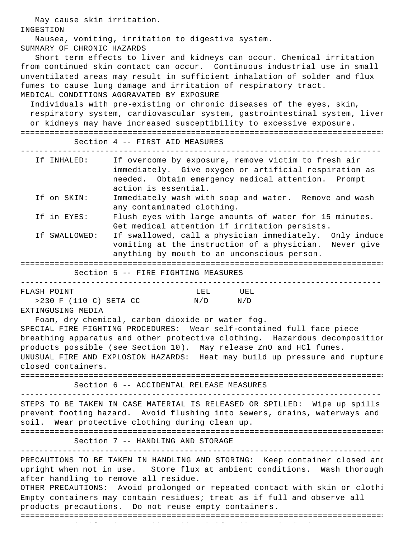May cause skin irritation. INGESTION Nausea, vomiting, irritation to digestive system. SUMMARY OF CHRONIC HAZARDS Short term effects to liver and kidneys can occur. Chemical irritation from continued skin contact can occur. Continuous industrial use in small unventilated areas may result in sufficient inhalation of solder and flux fumes to cause lung damage and irritation of respiratory tract. MEDICAL CONDITIONS AGGRAVATED BY EXPOSURE Individuals with pre-existing or chronic diseases of the eyes, skin, respiratory system, cardiovascular system, gastrointestinal system, liver or kidneys may have increased susceptibility to excessive exposure. ============================================================================= Section 4 -- FIRST AID MEASURES ----------------------------------------------------------------------------- If INHALED: If overcome by exposure, remove victim to fresh air immediately. Give oxygen or artificial respiration as needed. Obtain emergency medical attention. Prompt action is essential. If on SKIN: Immediately wash with soap and water. Remove and wash any contaminated clothing. If in EYES: Flush eyes with large amounts of water for 15 minutes. Get medical attention if irritation persists. If SWALLOWED: If swallowed, call a physician immediately. Only induce vomiting at the instruction of a physician. Never give anything by mouth to an unconscious person. ============================================================================= Section 5 -- FIRE FIGHTING MEASURES ----------------------------------------------------------------------------- FLASH POINT LEL UEL >230 F (110 C) SETA CC N/D N/D EXTINGUSING MEDIA Foam, dry chemical, carbon dioxide or water fog. SPECIAL FIRE FIGHTING PROCEDURES: Wear self-contained full face piece breathing apparatus and other protective clothing. Hazardous decomposition products possible (see Section 10). May release ZnO and HCl fumes. UNUSUAL FIRE AND EXPLOSION HAZARDS: Heat may build up pressure and rupture closed containers. ============================================================================= Section 6 -- ACCIDENTAL RELEASE MEASURES ----------------------------------------------------------------------------- STEPS TO BE TAKEN IN CASE MATERIAL IS RELEASED OR SPILLED: Wipe up spills prevent footing hazard. Avoid flushing into sewers, drains, waterways and soil. Wear protective clothing during clean up. ============================================================================= Section 7 -- HANDLING AND STORAGE ----------------------------------------------------------------------------- PRECAUTIONS TO BE TAKEN IN HANDLING AND STORING: Keep container closed and upright when not in use. Store flux at ambient conditions. Wash thorough after handling to remove all residue. OTHER PRECAUTIONS: Avoid prolonged or repeated contact with skin or cloth: Empty containers may contain residues; treat as if full and observe all products precautions. Do not reuse empty containers. =============================================================================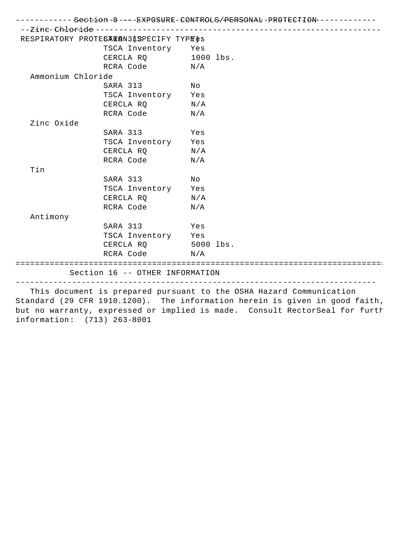|                   |                                         | ------------ <del>Section</del> -8----EXPOSURE-CONTROLS/ <del>PER</del> SONAL-PROTECTION------------                                               |
|-------------------|-----------------------------------------|----------------------------------------------------------------------------------------------------------------------------------------------------|
|                   |                                         |                                                                                                                                                    |
|                   | RESPIRATORY PROTES ERAN31SPECIFY TYPE&S |                                                                                                                                                    |
|                   | TSCA Inventory Yes                      |                                                                                                                                                    |
|                   | CERCLA RQ 1000 lbs.                     |                                                                                                                                                    |
|                   | RCRA Code N/A                           |                                                                                                                                                    |
| Ammonium Chloride |                                         |                                                                                                                                                    |
|                   | SARA 313 No                             |                                                                                                                                                    |
|                   | TSCA Inventory Yes                      |                                                                                                                                                    |
|                   | CERCLA $RQ$ $N/A$                       |                                                                                                                                                    |
|                   | RCRA Code N/A                           |                                                                                                                                                    |
| Zinc Oxide        |                                         |                                                                                                                                                    |
|                   | SARA 313 Yes                            |                                                                                                                                                    |
|                   | TSCA Inventory Yes                      |                                                                                                                                                    |
|                   | CERCLA RO $N/A$                         |                                                                                                                                                    |
|                   | RCRA Code                               | N/A                                                                                                                                                |
| Tin               |                                         |                                                                                                                                                    |
|                   | SARA 313                                | Νo                                                                                                                                                 |
|                   | TSCA Inventory Yes                      |                                                                                                                                                    |
|                   | CERCLA $RQ$ $N/A$                       |                                                                                                                                                    |
|                   | RCRA Code                               | $\mathrm{N}/\mathrm{A}$                                                                                                                            |
| Antimony          |                                         |                                                                                                                                                    |
|                   | SARA 313 Yes                            |                                                                                                                                                    |
|                   | TSCA Inventory Yes                      |                                                                                                                                                    |
|                   | CERCLA RQ 5000 lbs.                     |                                                                                                                                                    |
|                   | RCRA Code N/A                           |                                                                                                                                                    |
|                   |                                         |                                                                                                                                                    |
|                   | Section 16 -- OTHER INFORMATION         |                                                                                                                                                    |
|                   |                                         | This document is prepared pursuant to the OSHA Hazard Communication<br>Standard (29 CFR 1910.1200). The information herein is given in good faith, |

but no warranty, expressed or implied is made. Consult RectorSeal for furth information: (713) 263-8001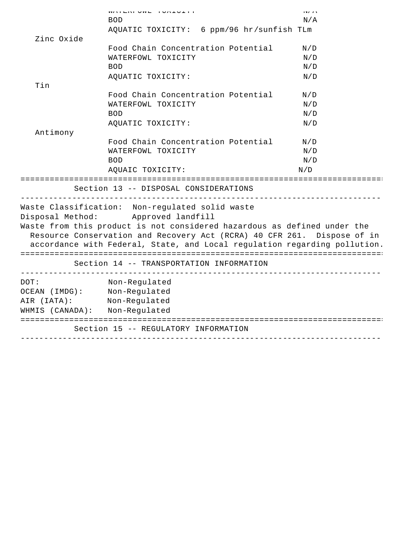|                               | MAIDINE OND I LONECITI                                                      | 14/12 |
|-------------------------------|-----------------------------------------------------------------------------|-------|
|                               | <b>BOD</b><br>AQUATIC TOXICITY: 6 ppm/96 hr/sunfish TLm                     | N/A   |
| Zinc Oxide                    |                                                                             |       |
|                               | Food Chain Concentration Potential                                          | N/D   |
|                               | WATERFOWL TOXICITY                                                          | N/D   |
|                               | <b>BOD</b>                                                                  | N/D   |
|                               | AQUATIC TOXICITY:                                                           | N/D   |
| Tin                           |                                                                             |       |
|                               | Food Chain Concentration Potential                                          | N/D   |
|                               | WATERFOWL TOXICITY                                                          | N/D   |
|                               | <b>BOD</b>                                                                  | N/D   |
|                               | AQUATIC TOXICITY:                                                           | N/D   |
| Antimony                      |                                                                             |       |
|                               | Food Chain Concentration Potential                                          | N/D   |
|                               | WATERFOWL TOXICITY                                                          | N/D   |
|                               | <b>BOD</b>                                                                  | N/D   |
|                               | AQUAIC TOXICITY:                                                            | N/D   |
|                               |                                                                             |       |
|                               | Section 13 -- DISPOSAL CONSIDERATIONS<br>. ________________________________ |       |
|                               | Waste Classification: Non-regulated solid waste                             |       |
|                               | Disposal Method: Approved landfill                                          |       |
|                               | Waste from this product is not considered hazardous as defined under the    |       |
|                               | Resource Conservation and Recovery Act (RCRA) 40 CFR 261. Dispose of in     |       |
|                               | accordance with Federal, State, and Local regulation regarding pollution.   |       |
|                               |                                                                             |       |
|                               | Section 14 -- TRANSPORTATION INFORMATION                                    |       |
| DOT:                          | Non-Regulated                                                               |       |
| OCEAN (IMDG): Non-Regulated   |                                                                             |       |
| AIR (IATA): Non-Regulated     |                                                                             |       |
| WHMIS (CANADA): Non-Regulated |                                                                             |       |
|                               |                                                                             |       |
|                               | Section 15 -- REGULATORY INFORMATION                                        |       |
|                               |                                                                             |       |